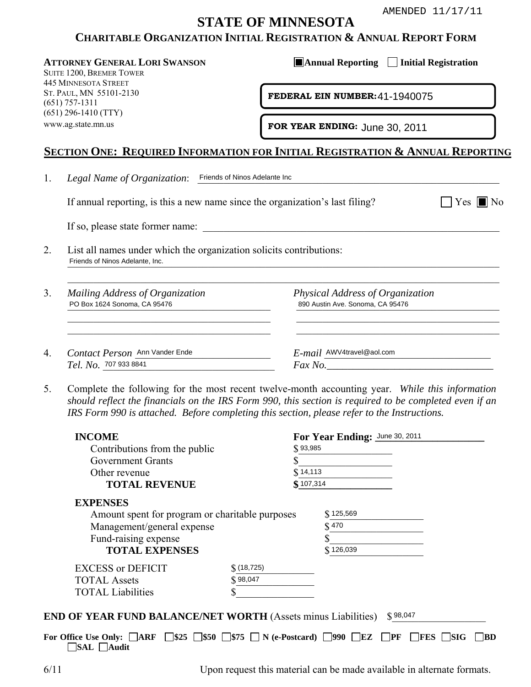# **STATE OF MINNESOTA**

# **CHARITABLE ORGANIZATION INITIAL REGISTRATION & ANNUAL REPORT FORM**

# **SECTION ONE: REQUIRED INFORMATION FOR INITIAL REGISTRATION & ANNUAL REPORTING**

|--|--|--|

| Mailing Address of Organization<br>PO Box 1624 Sonoma, CA 95476 | Physical Address of Organization<br>890 Austin Ave. Sonoma, CA 95476 |
|-----------------------------------------------------------------|----------------------------------------------------------------------|
|                                                                 |                                                                      |
|                                                                 |                                                                      |
|                                                                 |                                                                      |
| Contact Person Ann Vander Ende                                  | E-mail AWV4travel@aol.com                                            |
| Tel. No. 707 933 8841                                           | Fax No.                                                              |

|    | <b>CHARITABLE ORGANIZATION INITIAL REGISTRATION &amp; ANNUAL REPORT FORM</b>                                                                                                                                                                                                                           | <b>STATE OF MINNESOTA</b> |           |                                                                      | AMENDED 11/17/11   |
|----|--------------------------------------------------------------------------------------------------------------------------------------------------------------------------------------------------------------------------------------------------------------------------------------------------------|---------------------------|-----------|----------------------------------------------------------------------|--------------------|
|    | <b>ATTORNEY GENERAL LORI SWANSON</b><br>SUITE 1200, BREMER TOWER<br><b>445 MINNESOTA STREET</b>                                                                                                                                                                                                        |                           |           | <b>Annual Reporting Initial Registration</b>                         |                    |
|    | ST. PAUL, MN 55101-2130<br>$(651)$ 757-1311<br>$(651)$ 296-1410 (TTY)                                                                                                                                                                                                                                  |                           |           | FEDERAL EIN NUMBER: 41-1940075                                       |                    |
|    | www.ag.state.mn.us                                                                                                                                                                                                                                                                                     |                           |           | FOR YEAR ENDING: June 30, 2011                                       |                    |
|    | <u>Section One: Required Information for Initial Registration &amp; Annual Report</u>                                                                                                                                                                                                                  |                           |           |                                                                      |                    |
| 1. | Legal Name of Organization: Friends of Ninos Adelante Inc                                                                                                                                                                                                                                              |                           |           |                                                                      |                    |
|    | If annual reporting, is this a new name since the organization's last filing?                                                                                                                                                                                                                          |                           |           |                                                                      | $Yes \blacksquare$ |
|    | If so, please state former name:                                                                                                                                                                                                                                                                       |                           |           |                                                                      |                    |
| 2. | List all names under which the organization solicits contributions:<br>Friends of Ninos Adelante, Inc.                                                                                                                                                                                                 |                           |           |                                                                      |                    |
| 3. | Mailing Address of Organization<br>PO Box 1624 Sonoma, CA 95476                                                                                                                                                                                                                                        |                           |           | Physical Address of Organization<br>890 Austin Ave. Sonoma, CA 95476 |                    |
| 4. | Contact Person Ann Vander Ende<br>Tel. No. 707 933 8841                                                                                                                                                                                                                                                |                           |           | $E$ - <i>mail</i> $\frac{\text{AWV4}$ travel@aol.com<br>$Fax No.$    |                    |
| 5. | Complete the following for the most recent twelve-month accounting year. While this informatio<br>should reflect the financials on the IRS Form 990, this section is required to be completed even if a<br>IRS Form 990 is attached. Before completing this section, please refer to the Instructions. |                           |           |                                                                      |                    |
|    | <b>INCOME</b><br>Contributions from the public                                                                                                                                                                                                                                                         |                           | \$93,985  | For Year Ending: June 30, 2011                                       |                    |
|    | Government Grants                                                                                                                                                                                                                                                                                      |                           | \$        |                                                                      |                    |
|    | Other revenue                                                                                                                                                                                                                                                                                          |                           | \$14,113  |                                                                      |                    |
|    | <b>TOTAL REVENUE</b>                                                                                                                                                                                                                                                                                   |                           | \$107,314 |                                                                      |                    |
|    | <b>EXPENSES</b>                                                                                                                                                                                                                                                                                        |                           |           |                                                                      |                    |
|    | Amount spent for program or charitable purposes                                                                                                                                                                                                                                                        |                           |           | \$125,569<br>\$470                                                   |                    |
|    | Management/general expense<br>Fund-raising expense                                                                                                                                                                                                                                                     |                           |           |                                                                      |                    |
|    | <b>TOTAL EXPENSES</b>                                                                                                                                                                                                                                                                                  |                           |           | \$126,039                                                            |                    |
|    | <b>EXCESS or DEFICIT</b>                                                                                                                                                                                                                                                                               | $$$ (18,725)              |           |                                                                      |                    |
|    | <b>TOTAL Assets</b>                                                                                                                                                                                                                                                                                    | \$98,047                  |           |                                                                      |                    |
|    | <b>TOTAL Liabilities</b>                                                                                                                                                                                                                                                                               |                           |           |                                                                      |                    |
|    | <b>END OF YEAR FUND BALANCE/NET WORTH (Assets minus Liabilities)</b>                                                                                                                                                                                                                                   |                           |           | \$98,047                                                             |                    |

For Office Use Only:  $\Box$ ARF  $\Box$ \$25  $\Box$ \$50  $\Box$ \$75  $\Box$  N (e-Postcard)  $\Box$ 990  $\Box$ EZ  $\Box$ PF  $\Box$ FES  $\Box$ SIG  $\Box$ BD **SAL Audit** 

6/11 Upon request this material can be made available in alternate formats.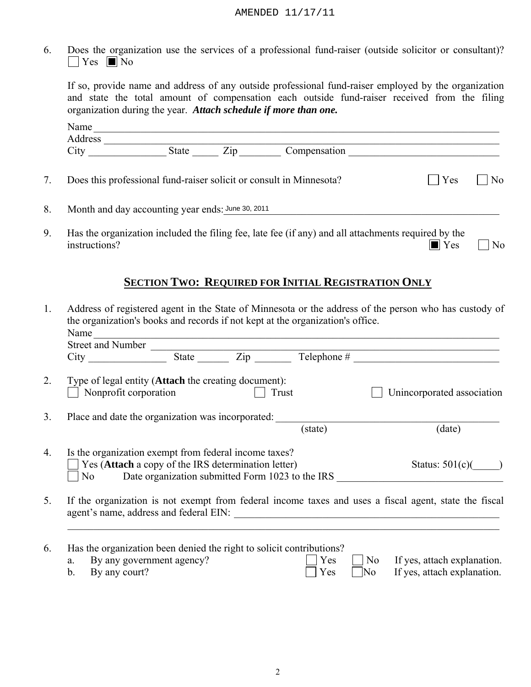|    | AMENDED 11/17/11                                                                                                                                                                                                                                                        |
|----|-------------------------------------------------------------------------------------------------------------------------------------------------------------------------------------------------------------------------------------------------------------------------|
| 6. | Does the organization use the services of a professional fund-raiser (outside solicitor or consultant)?<br>$\bigcap$ Yes $\bigcap$ No                                                                                                                                   |
|    | If so, provide name and address of any outside professional fund-raiser employed by the organization<br>and state the total amount of compensation each outside fund-raiser received from the filing<br>organization during the year. Attach schedule if more than one. |
|    | Name                                                                                                                                                                                                                                                                    |
|    | State Zip Compensation                                                                                                                                                                                                                                                  |
| 7. | Does this professional fund-raiser solicit or consult in Minnesota?<br>Yes<br>N <sub>0</sub>                                                                                                                                                                            |
| 8. | Month and day accounting year ends: June 30, 2011                                                                                                                                                                                                                       |
| 9. | Has the organization included the filing fee, late fee (if any) and all attachments required by the<br>$\blacksquare$ Yes<br>instructions?<br>No                                                                                                                        |

# **SECTION TWO: REQUIRED FOR INITIAL REGISTRATION ONLY**

|                | Name<br>Street and Number                                                                                                      | <u> 1989 - Johann Stoff, Amerikaansk politiker († 1908)</u> |       |         |                                                                                                       |  |
|----------------|--------------------------------------------------------------------------------------------------------------------------------|-------------------------------------------------------------|-------|---------|-------------------------------------------------------------------------------------------------------|--|
|                | <b>City</b>                                                                                                                    |                                                             |       |         |                                                                                                       |  |
| 2.             | Type of legal entity ( <b>Attach</b> the creating document):<br>Nonprofit corporation                                          |                                                             | Trust |         | Unincorporated association                                                                            |  |
| 3 <sub>1</sub> | Place and date the organization was incorporated:                                                                              |                                                             |       | (state) | (date)                                                                                                |  |
| 4.             | Is the organization exempt from federal income taxes?<br>Yes (Attach a copy of the IRS determination letter)<br>N <sub>o</sub> |                                                             |       |         | Status: $501(c)$<br>Date organization submitted Form 1023 to the IRS                                  |  |
| 5.             |                                                                                                                                |                                                             |       |         | If the organization is not exempt from federal income taxes and uses a fiscal agent, state the fiscal |  |
| 6.<br>a.       | Has the organization been denied the right to solicit contributions?<br>By any government agency?                              |                                                             |       | Yes     | N <sub>0</sub><br>If yes, attach explanation.                                                         |  |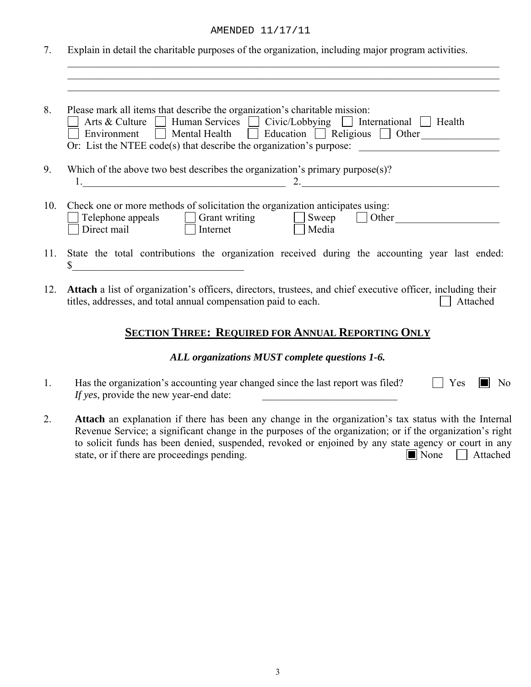### AMENDED 11/17/11

7. Explain in detail the charitable purposes of the organization, including major program activities.

 $\mathcal{L}_\mathcal{L} = \{ \mathcal{L}_\mathcal{L} = \{ \mathcal{L}_\mathcal{L} = \{ \mathcal{L}_\mathcal{L} = \{ \mathcal{L}_\mathcal{L} = \{ \mathcal{L}_\mathcal{L} = \{ \mathcal{L}_\mathcal{L} = \{ \mathcal{L}_\mathcal{L} = \{ \mathcal{L}_\mathcal{L} = \{ \mathcal{L}_\mathcal{L} = \{ \mathcal{L}_\mathcal{L} = \{ \mathcal{L}_\mathcal{L} = \{ \mathcal{L}_\mathcal{L} = \{ \mathcal{L}_\mathcal{L} = \{ \mathcal{L}_\mathcal{$  $\mathcal{L}_\text{max}$  , and the contribution of the contribution of the contribution of the contribution of the contribution of the contribution of the contribution of the contribution of the contribution of the contribution of t

| 8.<br>Please mark all items that describe the organization's charitable mission:<br>Arts & Culture Human Services Civic/Lobbying   International<br>Health<br>$\Box$ Mental Health $\Box$ Education $\Box$ Religious $\Box$ Other<br>Environment<br>Or: List the NTEE code(s) that describe the organization's purpose: |                                                                                                                                                                                               |  |  |
|-------------------------------------------------------------------------------------------------------------------------------------------------------------------------------------------------------------------------------------------------------------------------------------------------------------------------|-----------------------------------------------------------------------------------------------------------------------------------------------------------------------------------------------|--|--|
| 9.                                                                                                                                                                                                                                                                                                                      | Which of the above two best describes the organization's primary purpose $(s)$ ?<br>2.                                                                                                        |  |  |
| 10.                                                                                                                                                                                                                                                                                                                     | Check one or more methods of solicitation the organization anticipates using:<br>Other<br>Telephone appeals<br>Grant writing<br>  Sweep<br>$\mathbb{R}^n$<br>Direct mail<br>Media<br>Internet |  |  |
| 11.                                                                                                                                                                                                                                                                                                                     | State the total contributions the organization received during the accounting year last ended:                                                                                                |  |  |

12. **Attach** a list of organization's officers, directors, trustees, and chief executive officer, including their titles, addresses, and total annual compensation paid to each.  $\Box$  Attached

# **SECTION THREE: REQUIRED FOR ANNUAL REPORTING ONLY**

### *ALL organizations MUST complete questions 1-6.*

- 1. Has the organization's accounting year changed since the last report was filed?  $\Box$  Yes  $\Box$  No *If yes*, provide the new year-end date:
- 2. **Attach** an explanation if there has been any change in the organization's tax status with the Internal Revenue Service; a significant change in the purposes of the organization; or if the organization's right to solicit funds has been denied, suspended, revoked or enjoined by any state agency or court in any state, or if there are proceedings pending.  $\Box$  None  $\Box$  Attached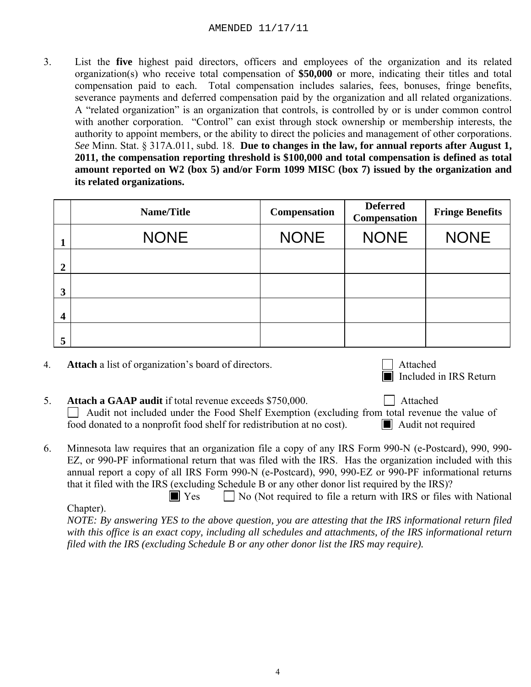3. List the **five** highest paid directors, officers and employees of the organization and its related organization(s) who receive total compensation of **\$50,000** or more, indicating their titles and total compensation paid to each. Total compensation includes salaries, fees, bonuses, fringe benefits, severance payments and deferred compensation paid by the organization and all related organizations. A "related organization" is an organization that controls, is controlled by or is under common control with another corporation. "Control" can exist through stock ownership or membership interests, the authority to appoint members, or the ability to direct the policies and management of other corporations. *See* Minn. Stat. § 317A.011, subd. 18. **Due to changes in the law, for annual reports after August 1, 2011, the compensation reporting threshold is \$100,000 and total compensation is defined as total amount reported on W2 (box 5) and/or Form 1099 MISC (box 7) issued by the organization and its related organizations.**  AMENDED  $11/17/11$ <br>
ighest paid directors, officers and employees of the organization and its resp. who receive total compensation of \$50,000 or more, indicating their titles and aid to each. Total compensation includes s

|                         | Name/Title  | <b>Compensation</b> | <b>Deferred</b><br><b>Compensation</b> | <b>Fringe Benefits</b> |
|-------------------------|-------------|---------------------|----------------------------------------|------------------------|
|                         | <b>NONE</b> | <b>NONE</b>         | <b>NONE</b>                            | <b>NONE</b>            |
| $\boldsymbol{2}$        |             |                     |                                        |                        |
| 3                       |             |                     |                                        |                        |
| $\overline{\mathbf{4}}$ |             |                     |                                        |                        |
| 5                       |             |                     |                                        |                        |

4. **Attach** a list of organization's board of directors.



- 5. **Attach a GAAP audit** if total revenue exceeds \$750,000.  $\Box$  Audit not included under the Food Shelf Exemption (excluding from total revenue the value of food donated to a nonprofit food shelf for redistribution at no cost). Audit not required
- 6. Minnesota law requires that an organization file a copy of any IRS Form 990-N (e-Postcard), 990, 990- EZ, or 990-PF informational return that was filed with the IRS. Has the organization included with this annual report a copy of all IRS Form 990-N (e-Postcard), 990, 990-EZ or 990-PF informational returns that it filed with the IRS (excluding Schedule B or any other donor list required by the IRS)?

 $\Box$  Yes  $\Box$  No (Not required to file a return with IRS or files with National Chapter).  *NOTE: By answering YES to the above question, you are attesting that the IRS informational return filed with this office is an exact copy, including all schedules and attachments, of the IRS informational return filed with the IRS (excluding Schedule B or any other donor list the IRS may require).*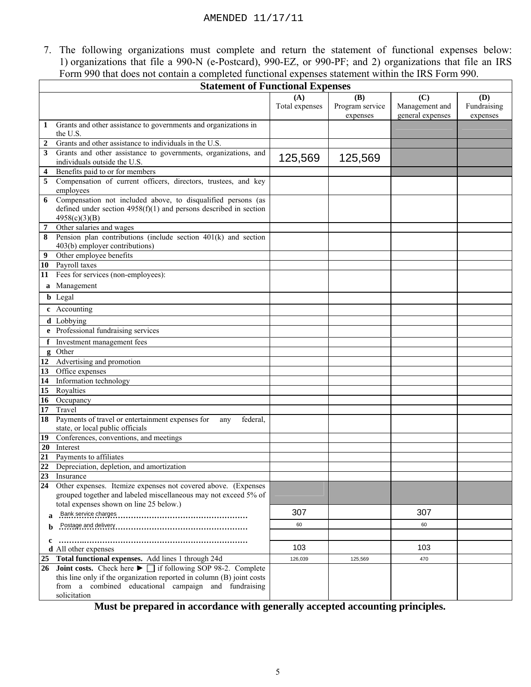|                 | AMENDED 11/17/11                                                                                                              |                |                 |                  |             |
|-----------------|-------------------------------------------------------------------------------------------------------------------------------|----------------|-----------------|------------------|-------------|
|                 |                                                                                                                               |                |                 |                  |             |
|                 |                                                                                                                               |                |                 |                  |             |
|                 | 7. The following organizations must complete and return the statement of functional expenses below:                           |                |                 |                  |             |
|                 | 1) organizations that file a 990-N (e-Postcard), 990-EZ, or 990-PF; and 2) organizations that file an IRS                     |                |                 |                  |             |
|                 | Form 990 that does not contain a completed functional expenses statement within the IRS Form 990.                             |                |                 |                  |             |
|                 |                                                                                                                               |                |                 |                  |             |
|                 | <b>Statement of Functional Expenses</b>                                                                                       |                |                 |                  |             |
|                 |                                                                                                                               | (A)            | (B)             | (C)              | <b>(D)</b>  |
|                 |                                                                                                                               | Total expenses | Program service | Management and   | Fundraising |
|                 |                                                                                                                               |                | expenses        | general expenses | expenses    |
|                 | Grants and other assistance to governments and organizations in<br>the U.S.                                                   |                |                 |                  |             |
| 2               | Grants and other assistance to individuals in the U.S.                                                                        |                |                 |                  |             |
| 3               | Grants and other assistance to governments, organizations, and                                                                |                |                 |                  |             |
|                 | individuals outside the U.S.                                                                                                  | 125,569        | 125,569         |                  |             |
|                 | Benefits paid to or for members                                                                                               |                |                 |                  |             |
| 5               | Compensation of current officers, directors, trustees, and key                                                                |                |                 |                  |             |
|                 | employees                                                                                                                     |                |                 |                  |             |
| 6               | Compensation not included above, to disqualified persons (as                                                                  |                |                 |                  |             |
|                 | defined under section $4958(f)(1)$ and persons described in section                                                           |                |                 |                  |             |
|                 | 4958(c)(3)(B)                                                                                                                 |                |                 |                  |             |
| 7               | Other salaries and wages                                                                                                      |                |                 |                  |             |
| 8               | Pension plan contributions (include section $401(k)$ and section                                                              |                |                 |                  |             |
|                 | 403(b) employer contributions)<br>Other employee benefits                                                                     |                |                 |                  |             |
|                 | 10 Payroll taxes                                                                                                              |                |                 |                  |             |
| 11              | Fees for services (non-employees):                                                                                            |                |                 |                  |             |
|                 | Management                                                                                                                    |                |                 |                  |             |
| a               |                                                                                                                               |                |                 |                  |             |
|                 | <b>b</b> Legal                                                                                                                |                |                 |                  |             |
|                 | c Accounting                                                                                                                  |                |                 |                  |             |
|                 | d Lobbying                                                                                                                    |                |                 |                  |             |
|                 | e Professional fundraising services                                                                                           |                |                 |                  |             |
| f               | Investment management fees                                                                                                    |                |                 |                  |             |
|                 | g Other                                                                                                                       |                |                 |                  |             |
|                 | 12 Advertising and promotion                                                                                                  |                |                 |                  |             |
| 13              | Office expenses                                                                                                               |                |                 |                  |             |
| 14              | Information technology                                                                                                        |                |                 |                  |             |
| 15              | Royalties                                                                                                                     |                |                 |                  |             |
| 16<br>17        | Occupancy<br>Travel                                                                                                           |                |                 |                  |             |
|                 | 18 Payments of travel or entertainment expenses for                                                                           |                |                 |                  |             |
|                 | federal,<br>any<br>state, or local public officials                                                                           |                |                 |                  |             |
| 19              | Conferences, conventions, and meetings                                                                                        |                |                 |                  |             |
| 20              | Interest                                                                                                                      |                |                 |                  |             |
| 21              | Payments to affiliates                                                                                                        |                |                 |                  |             |
| 22              | Depreciation, depletion, and amortization                                                                                     |                |                 |                  |             |
| $\overline{23}$ | Insurance                                                                                                                     |                |                 |                  |             |
| 24              | Other expenses. Itemize expenses not covered above. (Expenses                                                                 |                |                 |                  |             |
|                 | grouped together and labeled miscellaneous may not exceed 5% of<br>total expenses shown on line 25 below.)                    |                |                 |                  |             |
|                 | Bank service charges                                                                                                          | 307            |                 | 307              |             |
|                 |                                                                                                                               |                |                 |                  |             |
| b               |                                                                                                                               | 60             |                 | 60               |             |
| c               |                                                                                                                               |                |                 |                  |             |
|                 | d All other expenses                                                                                                          | 103            |                 | 103              |             |
| 25              | Total functional expenses. Add lines 1 through 24d                                                                            | 126,039        | 125,569         | 470              |             |
| 26              | <b>Joint costs.</b> Check here $\blacktriangleright$ $\Box$ if following SOP 98-2. Complete                                   |                |                 |                  |             |
|                 | this line only if the organization reported in column (B) joint costs<br>from a combined educational campaign and fundraising |                |                 |                  |             |
|                 | solicitation                                                                                                                  |                |                 |                  |             |
|                 |                                                                                                                               |                |                 |                  |             |

**Must be prepared in accordance with generally accepted accounting principles.**